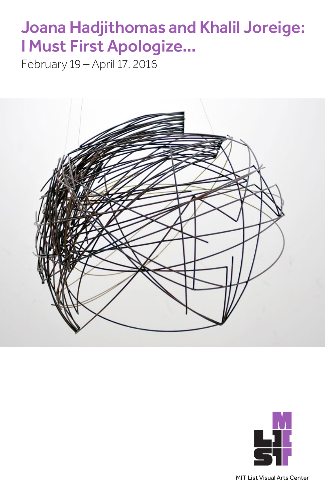# Joana Hadjithomas and Khalil Joreige: I Must First Apologize…

February 19 – April 17, 2016





MIT List Visual Arts Center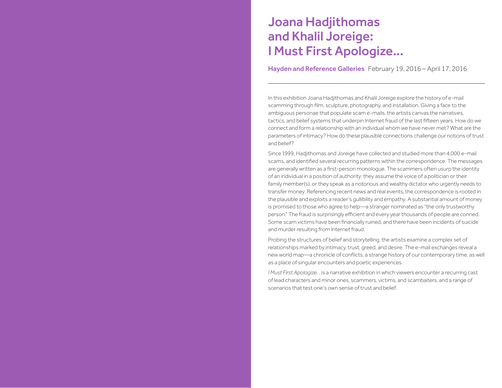## Joana Hadjithomas and Khalil Joreige: I Must First Apologize…

Hayden and Reference Galleries February 19, 2016 – April 17, 2016

In this exhibition Joana Hadjithomas and Khalil Joreige explore the history of e-mail scamming through film, sculpture, photography, and installation. Giving a face to the ambiguous personae that populate scam e-mails, the artists canvas the narratives, tactics, and belief systems that underpin Internet fraud of the last fifteen years. How do we connect and form a relationship with an individual whom we have never met? What are the parameters of intimacy? How do these plausible connections challenge our notions of trust and belief?

Since 1999, Hadjithomas and Joreige have collected and studied more than 4,000 e-mail scams, and identified several recurring patterns within the correspondence. The messages are generally written as a first-person monologue. The scammers often usurp the identity of an individual in a position of authority: they assume the voice of a politician or their family member(s), or they speak as a notorious and wealthy dictator who urgently needs to transfer money. Referencing recent news and real events, the correspondence is rooted in the plausible and exploits a reader's gullibility and empathy. A substantial amount of money is promised to those who agree to help—a stranger nominated as "the only trustworthy person." The fraud is surprisingly efficient and every year thousands of people are conned. Some scam victims have been financially ruined, and there have been incidents of suicide and murder resulting from Internet fraud.

Probing the structures of belief and storytelling, the artists examine a complex set of relationships marked by intimacy, trust, greed, and desire. The e-mail exchanges reveal a new world map—a chronicle of conflicts, a strange history of our contemporary time, as well as a place of singular encounters and poetic experiences.

*I Must First Apologize...* is a narrative exhibition in which viewers encounter a recurring cast of lead characters and minor ones, scammers, victims, and scambaiters, and a range of scenarios that test one's own sense of trust and belief.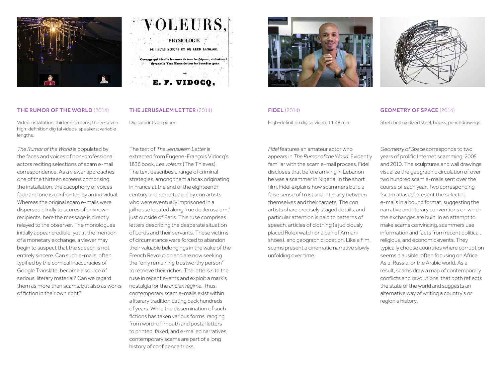

| VOLEURS,                                                                                                             |  |
|----------------------------------------------------------------------------------------------------------------------|--|
| PHYSIOLOGIE<br>DE LEURS MOEURS ET DE LEUR LANGAGE.                                                                   |  |
| Ouvrage qui dévoile les ruses de tous les fripons, et destiné à<br>devenir le VADE MIRCUM de tous les honnêtes gens. |  |
| E. F. VIDOCQ,                                                                                                        |  |

## THE RUMOR OF THE WORLD (2014)

Video installation, thirteen screens, thirty-seven high-definition digital videos, speakers; variable lengths.

*The Rumor of the World* is populated by the faces and voices of non-professional actors reciting selections of scam e-mail correspondence. As a viewer approaches one of the thirteen screens comprising the installation, the cacophony of voices fade and one is confronted by an individual. Whereas the original scam e-mails were dispersed blindly to scores of unknown recipients, here the message is directly relayed to the observer. The monologues initially appear credible, yet at the mention of a monetary exchange, a viewer may begin to suspect that the speech is not entirely sincere. Can such e-mails, often typified by the comical inaccuracies of Google Translate, become a source of serious, literary material? Can we regard them as more than scams, but also as works of fiction in their own right?

## THE JERUSALEM LETTER (2014)

Digital prints on paper.

The text of *The Jerusalem Letter* is extracted from Eugene-François Vidocq's 1836 book, *Les voleurs* (The Thieves). The text describes a range of criminal strategies, among them a hoax originating in France at the end of the eighteenth century and perpetuated by con artists who were eventually imprisoned in a jailhouse located along "rue de Jerusalem," just outside of Paris. This ruse comprises letters describing the desperate situation of Lords and their servants. These victims of circumstance were forced to abandon their valuable belongings in the wake of the French Revolution and are now seeking the "only remaining trustworthy person" to retrieve their riches. The letters site the ruse in recent events and exploit a mark's nostalgia for the *ancien régime*. Thus, contemporary scam e-mails exist within a literary tradition dating back hundreds of years. While the dissemination of such fictions has taken various forms, ranging from word-of-mouth and postal letters to printed, faxed, and e-mailed narratives, contemporary scams are part of a long history of confidence tricks.



## FIDEL (2014)

High-definition digital video; 11:48 min.

*Fidel* features an amateur actor who appears in *The Rumor of the World*. Evidently familiar with the scam e-mail process, Fidel discloses that before arriving in Lebanon he was a scammer in Nigeria. In the short film, Fidel explains how scammers build a false sense of trust and intimacy between themselves and their targets. The con artists share precisely staged details, and particular attention is paid to patterns of speech, articles of clothing (a judiciously placed Rolex watch or a pair of Armani shoes), and geographic location. Like a film, scams present a cinematic narrative slowly unfolding over time.

## GEOMETRY OF SPACE (2014)

Stretched oxidized steel, books, pencil drawings.

*Geometry of Space* corresponds to two years of prolific Internet scamming, 2005 and 2010. The sculptures and wall drawings visualize the geographic circulation of over two hundred scam e-mails sent over the course of each year. Two corresponding "scam atlases" present the selected e-mails in a bound format, suggesting the narrative and literary conventions on which the exchanges are built. In an attempt to make scams convincing, scammers use information and facts from recent political, religious, and economic events. They typically choose countries where corruption seems plausible, often focusing on Africa, Asia, Russia, or the Arabic world. As a result, scams draw a map of contemporary conflicts and revolutions, that both reflects the state of the world and suggests an alternative way of writing a country's or region's history.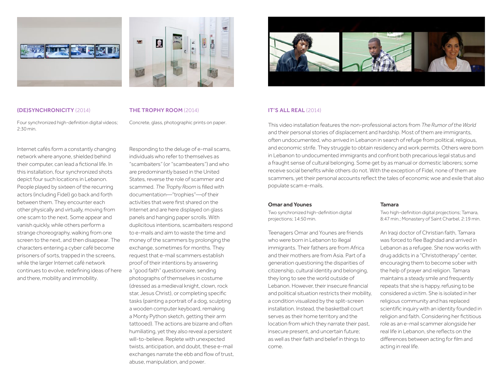



THE TROPHY ROOM (2014)

Four synchronized high-definition digital videos; 2:30 min.

Internet cafés form a constantly changing network where anyone, shielded behind their computer, can lead a fictional life. In this installation, four synchronized shots depict four such locations in Lebanon. People played by sixteen of the recurring actors (including Fidel) go back and forth between them. They encounter each other physically and virtually, moving from one scam to the next. Some appear and vanish quickly, while others perform a strange choreography, walking from one screen to the next, and then disappear. The characters entering a cyber café become prisoners of sorts, trapped in the screens, while the larger Internet café network continues to evolve, redefining ideas of here and there, mobility and immobility.

Concrete, glass, photographic prints on paper.

Responding to the deluge of e-mail scams, individuals who refer to themselves as "scambaiters" (or "scambeaters") and who are predominantly based in the United States, reverse the role of scammer and scammed. *The Trophy Room* is filled with documentation—"trophies"—of their activities that were first shared on the Internet and are here displayed on glass panels and hanging paper scrolls. With duplicitous intentions, scambaiters respond to e-mails and aim to waste the time and money of the scammers by prolonging the exchange, sometimes for months. They request that e-mail scammers establish proof of their intentions by answering a "good faith" questionnaire, sending photographs of themselves in costume (dressed as a medieval knight, clown, rock star, Jesus Christ), or completing specific tasks (painting a portrait of a dog, sculpting a wooden computer keyboard, remaking a Monty Python sketch, getting their arm tattooed). The actions are bizarre and often humiliating, yet they also reveal a persistent will-to-believe. Replete with unexpected twists, anticipation, and doubt, these e-mail exchanges narrate the ebb and flow of trust, abuse, manipulation, and power.



## IT'S ALL REAL (2014)

This video installation features the non-professional actors from *The Rumor of the World* and their personal stories of displacement and hardship. Most of them are immigrants, often undocumented, who arrived in Lebanon in search of refuge from political, religious, and economic strife. They struggle to obtain residency and work permits. Others were born in Lebanon to undocumented immigrants and confront both precarious legal status and a fraught sense of cultural belonging. Some get by as manual or domestic laborers; some receive social benefits while others do not. With the exception of Fidel, none of them are scammers, yet their personal accounts reflect the tales of economic woe and exile that also populate scam e-mails.

## Omar and Younes

Two synchronized high-definition digital projections; 14:50 min.

Teenagers Omar and Younes are friends who were born in Lebanon to illegal immigrants. Their fathers are from Africa and their mothers are from Asia. Part of a generation questioning the disparities of citizenship, cultural identity and belonging, they long to see the world outside of Lebanon. However, their insecure financial and political situation restricts their mobility, a condition visualized by the split-screen installation. Instead, the basketball court serves as their home territory and the location from which they narrate their past, insecure present, and uncertain future; as well as their faith and belief in things to come.

## Tamara

Two high-definition digital projections; Tamara, 8:47 min.; Monastery of Saint Charbel, 2:19 min.

An Iraqi doctor of Christian faith, Tamara was forced to flee Baghdad and arrived in Lebanon as a refugee. She now works with drug addicts in a "Christotherapy" center, encouraging them to become sober with the help of prayer and religion. Tamara maintains a steady smile and frequently repeats that she is happy, refusing to be considered a victim. She is isolated in her religious community and has replaced scientific inquiry with an identity founded in religion and faith. Considering her fictitious role as an e-mail scammer alongside her real life in Lebanon, she reflects on the differences between acting for film and acting in real life.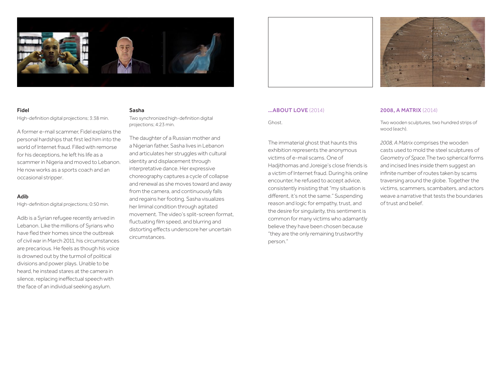

## Fidel Fidel High-definition digital projections;

High-definition digital projections; 3:38 min. 3:38 min.

A former e-mail scammer, Fidel explains the personal hardships that first led him into the world of Internet fraud. Filled with remorse for his deceptions, he left his life as a scammer in Nigeria and moved to Lebanon. He now works as a sports coach and an occasional stripper.

## Adib

High-definition digital projections; 0:50 min.

Adib is a Syrian refugee recently arrived in Lebanon. Like the millions of Syrians who have fled their homes since the outbreak of civil war in March 2011, his circumstances are precarious. He feels as though his voice is drowned out by the turmoil of political divisions and power plays. Unable to be heard, he instead stares at the camera in silence, replacing ineffectual speech with the face of an individual seeking asylum.

## Sasha

Two synchronized high-definition digital projections; 4:23 min.

The daughter of a Russian mother and a Nigerian father, Sasha lives in Lebanon and articulates her struggles with cultural identity and displacement through interpretative dance. Her expressive choreography captures a cycle of collapse and renewal as she moves toward and away from the camera, and continuously falls and regains her footing. Sasha visualizes her liminal condition through agitated movement. The video's split-screen format, fluctuating film speed, and blurring and distorting effects underscore her uncertain circumstances.



## …ABOUT LOVE (2014)

Ghost.

The immaterial ghost that haunts this exhibition represents the anonymous victims of e-mail scams. One of Hadjithomas and Joreige's close friends is a victim of Internet fraud. During his online encounter, he refused to accept advice, consistently insisting that "my situation is different, it's not the same." Suspending reason and logic for empathy, trust, and the desire for singularity, this sentiment is common for many victims who adamantly believe they have been chosen because "they are the only remaining trustworthy person."

## 2008, A MATRIX (2014)

Two wooden sculptures, two hundred strips of wood (each).

*2008, A Matrix* comprises the wooden casts used to mold the steel sculptures of *Geometry of Space*.The two spherical forms and incised lines inside them suggest an infinite number of routes taken by scams traversing around the globe. Together the victims, scammers, scambaiters, and actors weave a narrative that tests the boundaries of trust and belief.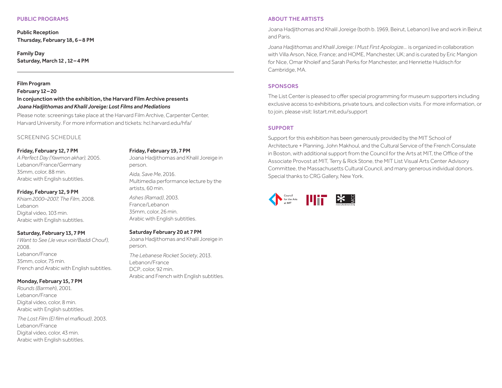## PUBLIC PROGRAMS

Public Reception Thursday, February 18, 6–8 PM

Family Day Saturday, March 12 , 12–4 PM

## Film Program

February 12–20 In conjunction with the exhibition, the Harvard Film Archive presents *Joana Hadjithomas and Khalil Joreige: Lost Films and Mediations*

Please note: screenings take place at the Harvard Film Archive, Carpenter Center, Harvard University. For more information and tickets: [hcl.harvard.edu/hfa/](hcl.harvard.edu/hfa)

## SCREENING SCHEDULE

## Friday, February 12, 7 PM

*A Perfect Day (Yawmon akhar),* 2005. Lebanon/France/Germany 35mm, color, 88 min. Arabic with English subtitles.

## Friday, February 12, 9 PM

*Khiam 2000–2007, The Film*, 2008. Lebanon Digital video, 103 min. Arabic with English subtitles.

## Saturday, February 13, 7 PM

*I Want to See (Je veux voir/Baddi Chouf),*  2008. Lebanon/France 35mm, color, 75 min. French and Arabic with English subtitles.

## Monday, February 15, 7 PM

*Rounds (Barmeh*), 2001. Lebanon/France Digital video, color, 8 min. Arabic with English subtitles.

*The Lost Film (El film el mafkoud)*, 2003. Lebanon/France Digital video, color, 43 min. Arabic with English subtitles.

#### Friday, February 19, 7 PM

Joana Hadjithomas and Khalil Joreige in person.

*Aida, Save Me*, 2016. Multimedia performance lecture by the artists, 60 min.

*Ashes (Ramad)*, 2003. France/Lebanon 35mm, color, 26 min. Arabic with English subtitles.

## Saturday February 20 at 7 PM

Joana Hadjithomas and Khalil Joreige in person. *The Lebanese Rocket Society*, 2013. Lebanon/France DCP, color, 92 min. Arabic and French with English subtitles.

## ABOUT THE ARTISTS

Joana Hadjithomas and Khalil Joreige (both b. 1969, Beirut, Lebanon) live and work in Beirut and Paris.

*Joana Hadjithomas and Khalil Joreige: I Must First Apologize…* is organized in collaboration with Villa Arson, Nice, France; and HOME, Manchester, UK; and is curated by Eric Mangion for Nice, Omar Kholeif and Sarah Perks for Manchester, and Henriette Huldisch for Cambridge, MA.

## SPONSORS

The List Center is pleased to offer special programming for museum supporters including exclusive access to exhibitions, private tours, and collection visits. For more information, or to join, please visit: listart.mit.edu/support

## SUPPORT

Support for this exhibition has been generously provided by the MIT School of Architecture + Planning, John Makhoul, and the Cultural Service of the French Consulate in Boston, with additional support from the Council for the Arts at MIT, the Office of the Associate Provost at MIT, Terry & Rick Stone, the MIT List Visual Arts Center Advisory Committee, the Massachusetts Cultural Council, and many generous individual donors. Special thanks to CRG Gallery, New York.